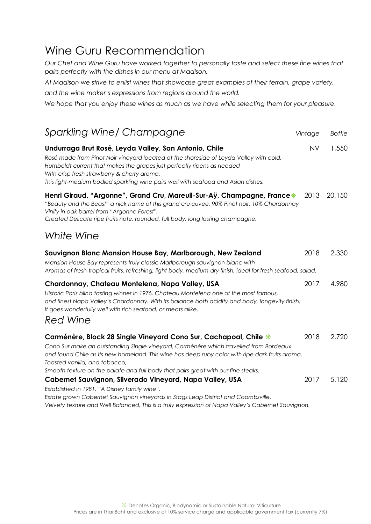## Wine Guru Recommendation

*Our Chef and Wine Guru have worked together to personally taste and select these fine wines that pairs perfectly with the dishes in our menu at Madison.*

*At Madison we strive to enlist wines that showcase great examples of their terrain, grape variety,*

*and the wine maker's expressions from regions around the world.*

*We hope that you enjoy these wines as much as we have while selecting them for your pleasure.*

| <b>Sparkling Wine/ Champagne</b>                                                                                                                                                                                                                                                                                                                                                   | Vintage   | <b>Bottle</b> |
|------------------------------------------------------------------------------------------------------------------------------------------------------------------------------------------------------------------------------------------------------------------------------------------------------------------------------------------------------------------------------------|-----------|---------------|
| Undurraga Brut Rosé, Leyda Valley, San Antonio, Chile<br>Rosé made from Pinot Noir vineyard located at the shoreside of Leyda Valley with cold,<br>Humboldt current that makes the grapes just perfectly ripens as needed<br>With crisp fresh strawberry & cherry aroma.<br>This light-medium bodied sparkling wine pairs well with seafood and Asian dishes.                      | <b>NV</b> | 1,550         |
| Henri Giraud, "Argonne", Grand Cru, Mareuil-Sur-Aÿ, Champagne, France*<br>"Beauty and the Beast" a nick name of this grand cru cuvee, 90% Pinot noir, 10% Chardonnay<br>Vinify in oak barrel from "Argonne Forest",<br>Created Delicate ripe fruits note, rounded, full body, long lasting champagne.                                                                              | 2013      | 20,150        |
| White Wine                                                                                                                                                                                                                                                                                                                                                                         |           |               |
| Sauvignon Blanc Mansion House Bay, Marlborough, New Zealand<br>Mansion House Bay represents truly classic Marlborough sauvignon blanc with<br>Aromas of fresh-tropical fruits, refreshing, light body, medium-dry finish, ideal for fresh seafood, salad.                                                                                                                          | 2018      | 2,330         |
| Chardonnay, Chateau Montelena, Napa Valley, USA<br>Historic Paris blind tasting winner in 1976, Chateau Montelena one of the most famous,<br>and finest Napa Valley's Chardonnay. With its balance both acidity and body, longevity finish,<br>It goes wonderfully well with rich seafood, or meats alike.<br><b>Red Wine</b>                                                      | 2017      | 4,980         |
| Carménère, Block 28 Single Vineyard Cono Sur, Cachapoal, Chile *<br>Cono Sur make an outstanding Single vineyard, Carménère which travelled from Bordeaux<br>and found Chile as its new homeland. This wine has deep ruby color with ripe dark fruits aroma,<br>Toasted vanilla, and tobacco,<br>Smooth texture on the palate and full body that pairs great with our fine steaks. | 2018      | 2,720         |
| Cabernet Sauvignon, Silverado Vineyard, Napa Valley, USA<br>Established in 1981, "A Disney family wine",<br>Estate grown Cabernet Sauvignon vineyards in Stags Leap District and Coombsville,                                                                                                                                                                                      | 2017      | 5,120         |

*Velvety texture and Well Balanced, This is a truly expression of Napa Valley's Cabernet Sauvignon.*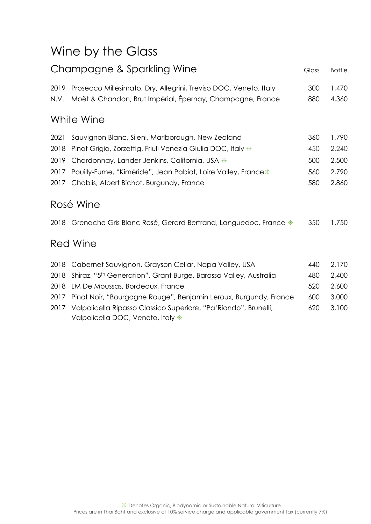# Wine by the Glass

| Champagne & Sparkling Wine |                                                                                                                               | Glass      | <b>Bottle</b>  |
|----------------------------|-------------------------------------------------------------------------------------------------------------------------------|------------|----------------|
| 2019<br>N.V.               | Prosecco Millesimato, Dry, Allegrini, Treviso DOC, Veneto, Italy<br>Moët & Chandon, Brut Impérial, Épernay, Champagne, France | 300<br>880 | 1,470<br>4,360 |
|                            | White Wine                                                                                                                    |            |                |
| 2021                       | Sauvignon Blanc, Sileni, Marlborough, New Zealand                                                                             | 360        | 1,790          |
| 2018                       | Pinot Grigio, Zorzettig, Friuli Venezia Giulia DOC, Italy *                                                                   | 450        | 2,240          |
| 2019                       | Chardonnay, Lander-Jenkins, California, USA *                                                                                 | 500        | 2,500          |
| 2017                       | Pouilly-Fume, "Kiméride", Jean Pabiot, Loire Valley, France*                                                                  | 560        | 2,790          |
|                            | 2017 Chablis, Albert Bichot, Burgundy, France                                                                                 | 580        | 2,860          |
|                            | Rosé Wine                                                                                                                     |            |                |
|                            | 2018 Grenache Gris Blanc Rosé, Gerard Bertrand, Languedoc, France $*$                                                         | 350        | 1,750          |
|                            | <b>Red Wine</b>                                                                                                               |            |                |
| 2018                       | Cabernet Sauvignon, Grayson Cellar, Napa Valley, USA                                                                          | 440        | 2,170          |
| 2018                       | Shiraz, "5 <sup>th</sup> Generation", Grant Burge, Barossa Valley, Australia                                                  | 480        | 2,400          |
| 2018                       | LM De Moussas, Bordeaux, France                                                                                               | 520        | 2,600          |
| 2017                       | Pinot Noir, "Bourgogne Rouge", Benjamin Leroux, Burgundy, France                                                              | 600        | 3,000          |
| 2017                       | Valpolicella Ripasso Classico Superiore, "Pa'Riondo", Brunelli,<br>Valpolicella DOC, Veneto, Italy *                          | 620        | 3,100          |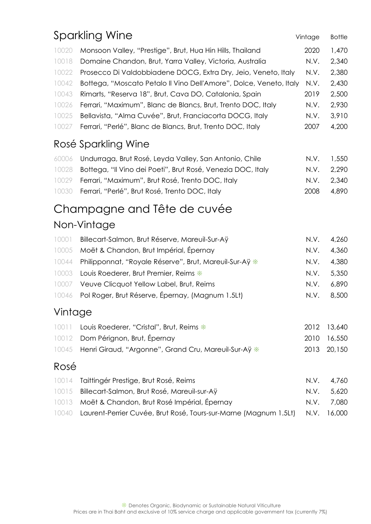|         | Sparkling Wine                                                     | Vintage | <b>Bottle</b> |
|---------|--------------------------------------------------------------------|---------|---------------|
| 10020   | Monsoon Valley, "Prestige", Brut, Hua Hin Hills, Thailand          | 2020    | 1,470         |
| 10018   | Domaine Chandon, Brut, Yarra Valley, Victoria, Australia           | N.V.    | 2,340         |
| 10022   | Prosecco Di Valdobbiadene DOCG, Extra Dry, Jeio, Veneto, Italy     | N.V.    | 2,380         |
| 10042   | Bottega, "Moscato Petalo II Vino Dell'Amore", Dolce, Veneto, Italy | N.V.    | 2,430         |
| 10043   | Rimarts, "Reserva 18", Brut, Cava DO, Catalonia, Spain             | 2019    | 2,500         |
| 10026   | Ferrari, "Maximum", Blanc de Blancs, Brut, Trento DOC, Italy       | N.V.    | 2,930         |
| 10025   | Bellavista, "Alma Cuvée", Brut, Franciacorta DOCG, Italy           | N.V.    | 3,910         |
| 10027   | Ferrari, "Perlé", Blanc de Blancs, Brut, Trento DOC, Italy         | 2007    | 4,200         |
|         | Rosé Sparkling Wine                                                |         |               |
| 60006   | Undurraga, Brut Rosé, Leyda Valley, San Antonio, Chile             | N.V.    | 1,550         |
| 10028   | Bottega, "Il Vino dei Poeti", Brut Rosé, Venezia DOC, Italy        | N.V.    | 2,290         |
| 10029   | Ferrari, "Maximum", Brut Rosé, Trento DOC, Italy                   | N.V.    | 2,340         |
| 10030   | Ferrari, "Perlé", Brut Rosé, Trento DOC, Italy                     | 2008    | 4,890         |
|         | Champagne and Tête de cuvée                                        |         |               |
|         | Non-Vintage                                                        |         |               |
| 10001   | Billecart-Salmon, Brut Réserve, Mareuil-Sur-Aÿ                     | N.V.    | 4,260         |
| 10005   | Moët & Chandon, Brut Impérial, Épernay                             | N.V.    | 4,360         |
| 10044   | Philipponnat, "Royale Réserve", Brut, Mareuil-Sur-Aÿ *             | N.V.    | 4,380         |
| 10003   | Louis Roederer, Brut Premier, Reims *                              | N.V.    | 5,350         |
| 10007   | Veuve Clicquot Yellow Label, Brut, Reims                           | N.V.    | 6,890         |
| 10046   | Pol Roger, Brut Réserve, Épernay, (Magnum 1.5Lt)                   | N.V.    | 8,500         |
| Vintage |                                                                    |         |               |
| 10011   | Louis Roederer, "Cristal", Brut, Reims *                           | 2012    | 13,640        |
| 10012   | Dom Pérignon, Brut, Épernay                                        | 2010    | 16,550        |
| 10045   | Henri Giraud, "Argonne", Grand Cru, Mareuil-Sur-Aÿ *               | 2013    | 20,150        |
| Rosé    |                                                                    |         |               |
| 10014   | Taittingér Prestige, Brut Rosé, Reims                              | N.V.    | 4,760         |
| 10015   | Billecart-Salmon, Brut Rosé, Mareuil-sur-Aÿ                        | N.V.    | 5,620         |
| 10013   | Moët & Chandon, Brut Rosé Impérial, Épernay                        | N.V.    | 7,080         |
| 10040   | Laurent-Perrier Cuvée, Brut Rosé, Tours-sur-Marne (Magnum 1.5Lt)   | N.V.    | 16,000        |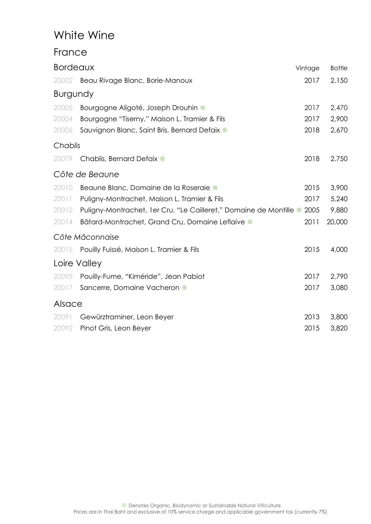## White Wine

#### France

| <b>Bordeaux</b> |                                                                         | Vintage | <b>Bottle</b> |
|-----------------|-------------------------------------------------------------------------|---------|---------------|
| 20002           | Beau Rivage Blanc, Borie-Manoux                                         | 2017    | 2,150         |
| <b>Burgundy</b> |                                                                         |         |               |
| 20005           | Bourgogne Aligoté, Joseph Drouhin *                                     | 2017    | 2,470         |
| 20004           | Bourgogne "Tiserny," Maison L. Tramier & Fils                           | 2017    | 2,900         |
| 20006           | Sauvignon Blanc, Saint Bris, Bernard Defaix *                           | 2018    | 2,670         |
| Chablis         |                                                                         |         |               |
| 20079           | Chablis, Bernard Defaix *                                               | 2018    | 2,750         |
|                 | Côte de Beaune                                                          |         |               |
| 20010           | Beaune Blanc, Domaine de la Roseraie *                                  | 2015    | 3,900         |
| 20011           | Puligny-Montrachet, Maison L. Tramier & Fils                            | 2017    | 5,240         |
| 20012           | Puligny-Montrachet, 1er Cru, "Le Cailleret," Domaine de Montille * 2005 |         | 9,880         |
| 20014           | Bâtard-Montrachet, Grand Cru, Domaine Leflaive *                        | 2011    | 20,000        |
|                 | Côte Mâconnaise                                                         |         |               |
| 20015           | Pouilly Fuissé, Maison L. Tramier & Fils                                | 2015    | 4,000         |
|                 | Loire Valley                                                            |         |               |
| 20095           | Pouilly-Fume, "Kiméride", Jean Pabiot                                   | 2017    | 2,790         |
| 20017           | Sancerre, Domaine Vacheron *                                            | 2017    | 3,080         |
| Alsace          |                                                                         |         |               |
| 20091           | Gewürztraminer, Leon Beyer                                              | 2013    | 3,800         |
| 20092           | Pinot Gris, Leon Beyer                                                  | 2015    | 3,820         |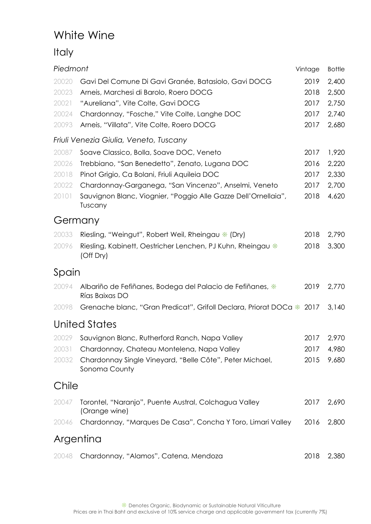## White Wine

### Italy

| Piedmont  |                                                                             | Vintage | <b>Bottle</b> |
|-----------|-----------------------------------------------------------------------------|---------|---------------|
| 20020     | Gavi Del Comune Di Gavi Granée, Batasiolo, Gavi DOCG                        | 2019    | 2,400         |
| 20023     | Arneis, Marchesi di Barolo, Roero DOCG                                      | 2018    | 2,500         |
| 20021     | "Aureliana", Vite Colte, Gavi DOCG                                          | 2017    | 2,750         |
| 20024     | Chardonnay, "Fosche," Vite Colte, Langhe DOC                                | 2017    | 2,740         |
| 20093     | Arneis, "Villata", Vite Colte, Roero DOCG                                   | 2017    | 2,680         |
|           | Friuli Venezia Giulia, Veneto, Tuscany                                      |         |               |
| 20087     | Soave Classico, Bolla, Soave DOC, Veneto                                    | 2017    | 1,920         |
| 20026     | Trebbiano, "San Benedetto", Zenato, Lugana DOC                              | 2016    | 2,220         |
| 20018     | Pinot Grigio, Ca Bolani, Friuli Aquileia DOC                                | 2017    | 2,330         |
| 20022     | Chardonnay-Garganega, "San Vincenzo", Anselmi, Veneto                       | 2017    | 2,700         |
| 20101     | Sauvignon Blanc, Viognier, "Poggio Alle Gazze Dell'Ornellaia",<br>Tuscany   | 2018    | 4,620         |
| Germany   |                                                                             |         |               |
| 20033     | Riesling, "Weingut", Robert Weil, Rheingau $*$ (Dry)                        | 2018    | 2,790         |
| 20096     | Riesling, Kabinett, Oestricher Lenchen, PJ Kuhn, Rheingau *<br>(Off Dry)    | 2018    | 3,300         |
| Spain     |                                                                             |         |               |
| 20094     | Albariño de Fefiñanes, Bodega del Palacio de Fefiñanes, *<br>Rías Baixas DO | 2019    | 2,770         |
| 20098     | Grenache blanc, "Gran Predicat", Grifoll Declara, Priorat DOCa $*$ 2017     |         | 3,140         |
|           | <b>United States</b>                                                        |         |               |
|           | 20029 Sauvignon Blanc, Rutherford Ranch, Napa Valley                        | 2017    | 2,970         |
| 20031     | Chardonnay, Chateau Montelena, Napa Valley                                  | 2017    | 4,980         |
| 20032     | Chardonnay Single Vineyard, "Belle Côte", Peter Michael,<br>Sonoma County   | 2015    | 9,680         |
| Chile     |                                                                             |         |               |
| 20047     | Torontel, "Naranjo", Puente Austral, Colchagua Valley<br>(Orange wine)      | 2017    | 2,690         |
| 20046     | Chardonnay, "Marques De Casa", Concha Y Toro, Limari Valley                 | 2016    | 2,800         |
| Argentina |                                                                             |         |               |
| 20048     | Chardonnay, "Alamos", Catena, Mendoza                                       | 2018    | 2,380         |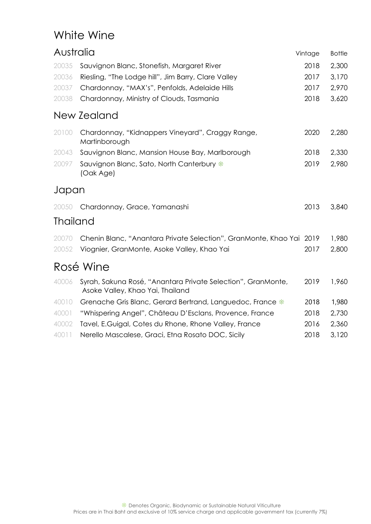## White Wine

| Australia       |                                                                                                  | Vintage | <b>Bottle</b> |
|-----------------|--------------------------------------------------------------------------------------------------|---------|---------------|
| 20035           | Sauvignon Blanc, Stonefish, Margaret River                                                       | 2018    | 2,300         |
| 20036           | Riesling, "The Lodge hill", Jim Barry, Clare Valley                                              | 2017    | 3,170         |
| 20037           | Chardonnay, "MAX's", Penfolds, Adelaide Hills                                                    | 2017    | 2,970         |
| 20038           | Chardonnay, Ministry of Clouds, Tasmania                                                         | 2018    | 3,620         |
|                 | New Zealand                                                                                      |         |               |
| 20100           | Chardonnay, "Kidnappers Vineyard", Craggy Range,<br>Martinborough                                | 2020    | 2,280         |
| 20043           | Sauvignon Blanc, Mansion House Bay, Marlborough                                                  | 2018    | 2,330         |
| 20097           | Sauvignon Blanc, Sato, North Canterbury *<br>(Oak Age)                                           | 2019    | 2,980         |
| Japan           |                                                                                                  |         |               |
| 20050           | Chardonnay, Grace, Yamanashi                                                                     | 2013    | 3,840         |
| <b>Thailand</b> |                                                                                                  |         |               |
| 20070           | Chenin Blanc, "Anantara Private Selection", GranMonte, Khao Yai 2019                             |         | 1,980         |
| 20052           | Viognier, GranMonte, Asoke Valley, Khao Yai                                                      | 2017    | 2,800         |
|                 | Rosé Wine                                                                                        |         |               |
| 40006           | Syrah, Sakuna Rosé, "Anantara Private Selection", GranMonte,<br>Asoke Valley, Khao Yai, Thailand | 2019    | 1,960         |
| 40010           | Grenache Gris Blanc, Gerard Bertrand, Languedoc, France *                                        | 2018    | 1,980         |
| 40001           | "Whispering Angel", Château D'Esclans, Provence, France                                          | 2018    | 2,730         |
| 40002           | Tavel, E.Guigal, Cotes du Rhone, Rhone Valley, France                                            | 2016    | 2,360         |
| 40011           | Nerello Mascalese, Graci, Etna Rosato DOC, Sicily                                                | 2018    | 3,120         |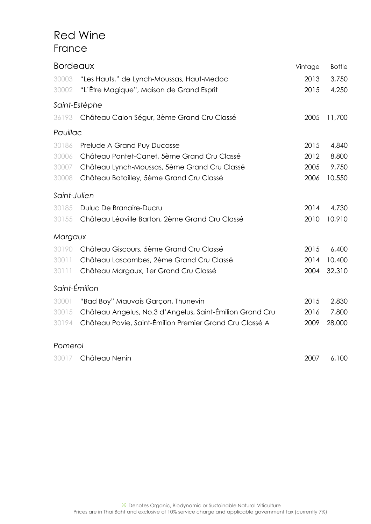### Red Wine France

| <b>Bordeaux</b> |                                                          | Vintage | <b>Bottle</b> |
|-----------------|----------------------------------------------------------|---------|---------------|
| 30003           | "Les Hauts," de Lynch-Moussas, Haut-Medoc                | 2013    | 3,750         |
| 30002           | "L'Être Magique", Maison de Grand Esprit                 | 2015    | 4,250         |
|                 | Saint-Estèphe                                            |         |               |
| 36193           | Château Calon Ségur, 3ème Grand Cru Classé               | 2005    | 11,700        |
| Pauillac        |                                                          |         |               |
| 30186           | Prelude A Grand Puy Ducasse                              | 2015    | 4,840         |
| 30006           | Château Pontet-Canet, 5ème Grand Cru Classé              | 2012    | 8,800         |
| 30007           | Château Lynch-Moussas, 5ème Grand Cru Classé             | 2005    | 9,750         |
| 30008           | Château Batailley, 5ème Grand Cru Classé                 | 2006    | 10,550        |
| Saint-Julien    |                                                          |         |               |
| 30185           | Duluc De Branaire-Ducru                                  | 2014    | 4,730         |
| 30155           | Château Léoville Barton, 2ème Grand Cru Classé           | 2010    | 10,910        |
| Margaux         |                                                          |         |               |
| 30190           | Château Giscours, 5ème Grand Cru Classé                  | 2015    | 6,400         |
| 30011           | Château Lascombes, 2ème Grand Cru Classé                 | 2014    | 10,400        |
| 30111           | Château Margaux, 1er Grand Cru Classé                    | 2004    | 32,310        |
| Saint-Émilion   |                                                          |         |               |
| 30001           | "Bad Boy" Mauvais Garçon, Thunevin                       | 2015    | 2,830         |
| 30015           | Château Angelus, No.3 d'Angelus, Saint-Émilion Grand Cru | 2016    | 7,800         |
| 30194           | Château Pavie, Saint-Émilion Premier Grand Cru Classé A  | 2009    | 28,000        |
| Pomerol         |                                                          |         |               |
| 30017           | Château Nenin                                            | 2007    | 6,100         |
|                 |                                                          |         |               |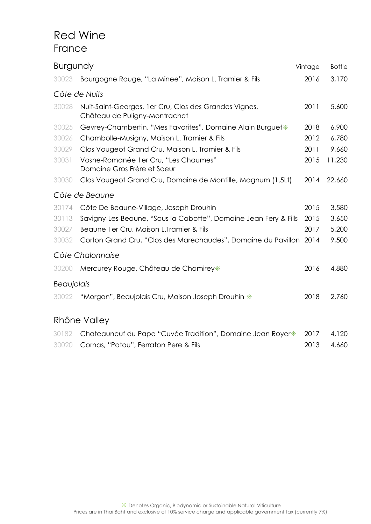### Red Wine France

| <b>Burgundy</b> |                                                                                        | Vintage | <b>Bottle</b> |
|-----------------|----------------------------------------------------------------------------------------|---------|---------------|
| 30023           | Bourgogne Rouge, "La Minee", Maison L. Tramier & Fils                                  | 2016    | 3,170         |
|                 | Côte de Nuits                                                                          |         |               |
| 30028           | Nuit-Saint-Georges, 1er Cru, Clos des Grandes Vignes,<br>Château de Puligny-Montrachet | 2011    | 5,600         |
| 30025           | Gevrey-Chambertin, "Mes Favorites", Domaine Alain Burguet*                             | 2018    | 6,900         |
| 30026           | Chambolle-Musigny, Maison L. Tramier & Fils                                            | 2012    | 6,780         |
| 30029           | Clos Vougeot Grand Cru, Maison L. Tramier & Fils                                       | 2011    | 9,660         |
| 30031           | Vosne-Romanée 1 er Cru, "Les Chaumes"<br>Domaine Gros Frère et Soeur                   | 2015    | 11,230        |
| 30030           | Clos Vougeot Grand Cru, Domaine de Montille, Magnum (1.5Lt)                            | 2014    | 22,660        |
|                 | Côte de Beaune                                                                         |         |               |
| 30174           | Côte De Beaune-Village, Joseph Drouhin                                                 | 2015    | 3,580         |
| 30113           | Savigny-Les-Beaune, "Sous la Cabotte", Domaine Jean Fery & Fills                       | 2015    | 3,650         |
| 30027           | Beaune 1 er Cru, Maison L. Tramier & Fils                                              | 2017    | 5,200         |
| 30032           | Corton Grand Cru, "Clos des Marechaudes", Domaine du Pavillon 2014                     |         | 9,500         |
|                 | Côte Chalonnaise                                                                       |         |               |
| 30200           | Mercurey Rouge, Château de Chamirey*                                                   | 2016    | 4,880         |
| Beaujolais      |                                                                                        |         |               |
| 30022           | "Morgon", Beaujolais Cru, Maison Joseph Drouhin *                                      | 2018    | 2,760         |
|                 | Rhône Valley                                                                           |         |               |
| 30182           | Chateauneuf du Pape "Cuvée Tradition", Domaine Jean Royer*                             | 2017    | 4,120         |
| 30020           | Cornas, "Patou", Ferraton Pere & Fils                                                  | 2013    | 4,660         |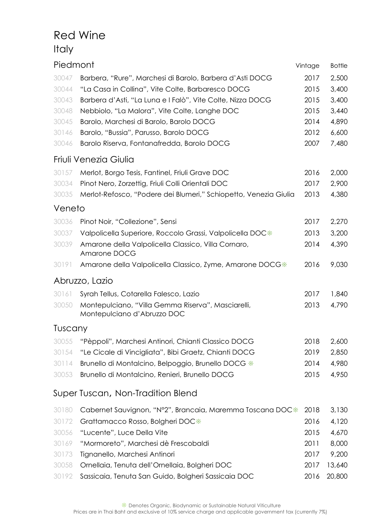## Red Wine Italy

| Piedmont |                                                                                   | Vintage | <b>Bottle</b> |
|----------|-----------------------------------------------------------------------------------|---------|---------------|
| 30047    | Barbera, "Rure", Marchesi di Barolo, Barbera d'Asti DOCG                          | 2017    | 2,500         |
| 30044    | "La Casa in Collina", Vite Colte, Barbaresco DOCG                                 | 2015    | 3,400         |
| 30043    | Barbera d'Asti, "La Luna e I Falò", Vite Colte, Nizza DOCG                        | 2015    | 3,400         |
| 30048    | Nebbiolo, "La Malora", Vite Colte, Langhe DOC                                     | 2015    | 3,440         |
| 30045    | Barolo, Marchesi di Barolo, Barolo DOCG                                           | 2014    | 4,890         |
| 30146    | Barolo, "Bussia", Parusso, Barolo DOCG                                            | 2012    | 6,600         |
| 30046    | Barolo Riserva, Fontanafredda, Barolo DOCG                                        | 2007    | 7,480         |
|          | Friuli Venezia Giulia                                                             |         |               |
| 30157    | Merlot, Borgo Tesis, Fantinel, Friuli Grave DOC                                   | 2016    | 2,000         |
| 30034    | Pinot Nero, Zorzettig, Friuli Colli Orientali DOC                                 | 2017    | 2,900         |
| 30035    | Merlot-Refosco, "Podere dei Blumeri," Schiopetto, Venezia Giulia                  | 2013    | 4,380         |
| Veneto   |                                                                                   |         |               |
| 30036    | Pinot Noir, "Collezione", Sensi                                                   | 2017    | 2,270         |
| 30037    | Valpolicella Superiore, Roccolo Grassi, Valpolicella DOC*                         | 2013    | 3,200         |
| 30039    | Amarone della Valpolicella Classico, Villa Cornaro,                               | 2014    | 4,390         |
|          | Amarone DOCG                                                                      |         |               |
| 30191    | Amarone della Valpolicella Classico, Zyme, Amarone DOCG*                          | 2016    | 9,030         |
|          | Abruzzo, Lazio                                                                    |         |               |
| 30161    | Syrah Tellus, Cotarella Falesco, Lazio                                            | 2017    | 1,840         |
| 30050    | Montepulciano, "Villa Gemma Riserva", Masciarelli,<br>Montepulciano d'Abruzzo DOC | 2013    | 4,790         |
| Tuscany  |                                                                                   |         |               |
| 30055    | "Pèppoli", Marchesi Antinori, Chianti Classico DOCG                               | 2018    | 2,600         |
| 30154    | "Le Cicale di Vincigliata", Bibi Graetz, Chianti DOCG                             | 2019    | 2,850         |
| 30114    | Brunello di Montalcino, Belpoggio, Brunello DOCG *                                | 2014    | 4,980         |
| 30053    | Brunello di Montalcino, Renieri, Brunello DOCG                                    | 2015    | 4,950         |
|          | Super Tuscan, Non-Tradition Blend                                                 |         |               |
| 30180    | Cabernet Sauvignon, "N°2", Brancaia, Maremma Toscana DOC*                         | 2018    | 3,130         |
| 30172    | Grattamacco Rosso, Bolgheri DOC*                                                  | 2016    | 4,120         |
| 30056    | "Lucente", Luce Della Vite                                                        | 2015    | 4,670         |
| 30169    | "Mormoreto", Marchesi dè Frescobaldi                                              | 2011    | 8,000         |
| 30173    | Tignanello, Marchesi Antinori                                                     | 2017    | 9,200         |
| 30058    | Ornellaia, Tenuta dell'Ornellaia, Bolgheri DOC                                    | 2017    | 13,640        |
| 30192    | Sassicaia, Tenuta San Guido, Bolgheri Sassicaia DOC                               | 2016    | 20,800        |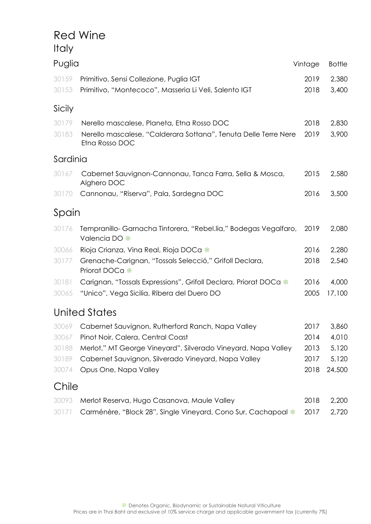### Red Wine Italy

| Puglia   |                                                                                   | Vintage | <b>Bottle</b> |
|----------|-----------------------------------------------------------------------------------|---------|---------------|
| 30159    | Primitivo, Sensi Collezione, Puglia IGT                                           | 2019    | 2,380         |
| 30153    | Primitivo, "Montecoco", Masseria Li Veli, Salento IGT                             | 2018    | 3,400         |
| Sicily   |                                                                                   |         |               |
| 30179    | Nerello mascalese, Planeta, Etna Rosso DOC                                        | 2018    | 2,830         |
| 30183    | Nerello mascalese, "Calderara Sottana", Tenuta Delle Terre Nere<br>Etna Rosso DOC | 2019    | 3,900         |
| Sardinia |                                                                                   |         |               |
| 30167    | Cabernet Sauvignon-Cannonau, Tanca Farra, Sella & Mosca,<br>Alghero DOC           | 2015    | 2,580         |
| 30170    | Cannonau, "Riserva", Pala, Sardegna DOC                                           | 2016    | 3,500         |
| Spain    |                                                                                   |         |               |
| 30176    | Tempranillo-Garnacha Tintorera, "Rebel.lia," Bodegas Vegalfaro,<br>Valencia DO *  | 2019    | 2,080         |
| 30066    | Rioja Crianza, Vina Real, Rioja DOCa *                                            | 2016    | 2,280         |
| 30177    | Grenache-Carignan, "Tossals Selecció," Grifoll Declara,<br>Priorat DOCa *         | 2018    | 2,540         |
| 30181    | Carignan, "Tossals Expressions", Grifoll Declara, Priorat DOCa *                  | 2016    | 4,000         |
| 30065    | "Unico", Vega Sicilia, Ribera del Duero DO                                        | 2005    | 17,100        |
|          | <b>United States</b>                                                              |         |               |
| 30069    | Cabernet Sauvignon, Rutherford Ranch, Napa Valley                                 | 2017    | 3,860         |
| 30067    | Pinot Noir, Calera, Central Coast                                                 | 2014    | 4,010         |
| 30188    | Merlot," MT George Vineyard", Silverado Vineyard, Napa Valley                     | 2013    | 5,120         |
| 30189    | Cabernet Sauvignon, Silverado Vineyard, Napa Valley                               | 2017    | 5,120         |
| 30074    | Opus One, Napa Valley                                                             | 2018    | 24,500        |
| Chile    |                                                                                   |         |               |

| 30093 Merlot Reserva, Hugo Casanova, Maule Valley                              | 2018 2,200 |  |
|--------------------------------------------------------------------------------|------------|--|
| 30171 Carménère, "Block 28", Single Vineyard, Cono Sur, Cachapoal * 2017 2,720 |            |  |